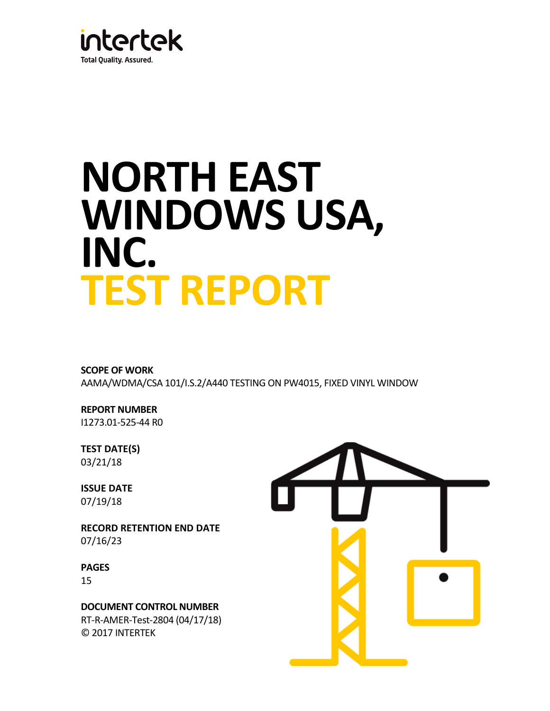

# **NORTH EAST WINDOWS USA, INC. TEST REPORT**

# **SCOPE OF WORK**

AAMA/WDMA/CSA 101/I.S.2/A440 TESTING ON PW4015, FIXED VINYL WINDOW

# **REPORT NUMBER** I1273.01-525-44 R0

## **TEST DATE(S)** 03/21/18

**ISSUE DATE** 07/19/18

**RECORD RETENTION END DATE** 07/16/23

**PAGES** 15

**DOCUMENT CONTROL NUMBER** RT-R-AMER-Test-2804 (04/17/18) © 2017 INTERTEK

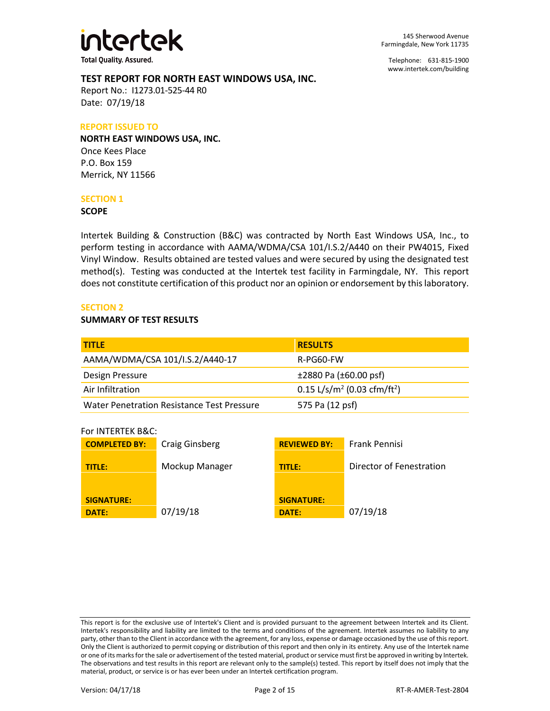

145 Sherwood Avenue Farmingdale, New York 11735

Telephone: 631-815-1900 [www.intertek.com/building](http://www.intertek.com/building)

#### **TEST REPORT FOR NORTH EAST WINDOWS USA, INC.**

Report No.: I1273.01-525-44 R0 Date: 07/19/18

#### **REPORT ISSUED TO**

**NORTH EAST WINDOWS USA, INC.**  Once Kees Place P.O. Box 159 Merrick, NY 11566

#### **SECTION 1**

#### **SCOPE**

Intertek Building & Construction (B&C) was contracted by North East Windows USA, Inc., to perform testing in accordance with AAMA/WDMA/CSA 101/I.S.2/A440 on their PW4015, Fixed Vinyl Window. Results obtained are tested values and were secured by using the designated test method(s). Testing was conducted at the Intertek test facility in Farmingdale, NY. This report does not constitute certification of this product nor an opinion or endorsement by this laboratory.

#### **SECTION 2**

#### **SUMMARY OF TEST RESULTS**

| <b>TITLE</b>                               | <b>RESULTS</b>                                      |
|--------------------------------------------|-----------------------------------------------------|
| AAMA/WDMA/CSA 101/I.S.2/A440-17            | R-PG60-FW                                           |
| Design Pressure                            | $±2880$ Pa ( $±60.00$ psf)                          |
| Air Infiltration                           | 0.15 L/s/m <sup>2</sup> (0.03 cfm/ft <sup>2</sup> ) |
| Water Penetration Resistance Test Pressure | 575 Pa (12 psf)                                     |

For INTERTEK B&C:

| <b>COMPLETED BY:</b>       | <b>Craig Ginsberg</b> | <b>REVIEWED BY:</b>        | Frank Pennisi            |
|----------------------------|-----------------------|----------------------------|--------------------------|
| TITLE:                     | Mockup Manager        | <b>TITLE:</b>              | Director of Fenestration |
| <b>SIGNATURE:</b><br>DATE: | 07/19/18              | <b>SIGNATURE:</b><br>DATE: | 07/19/18                 |

This report is for the exclusive use of Intertek's Client and is provided pursuant to the agreement between Intertek and its Client. Intertek's responsibility and liability are limited to the terms and conditions of the agreement. Intertek assumes no liability to any party, other than to the Client in accordance with the agreement, for any loss, expense or damage occasioned by the use of this report. Only the Client is authorized to permit copying or distribution of this report and then only in its entirety. Any use of the Intertek name or one of its marks for the sale or advertisement of the tested material, product or service must first be approved in writing by Intertek. The observations and test results in this report are relevant only to the sample(s) tested. This report by itself does not imply that the material, product, or service is or has ever been under an Intertek certification program.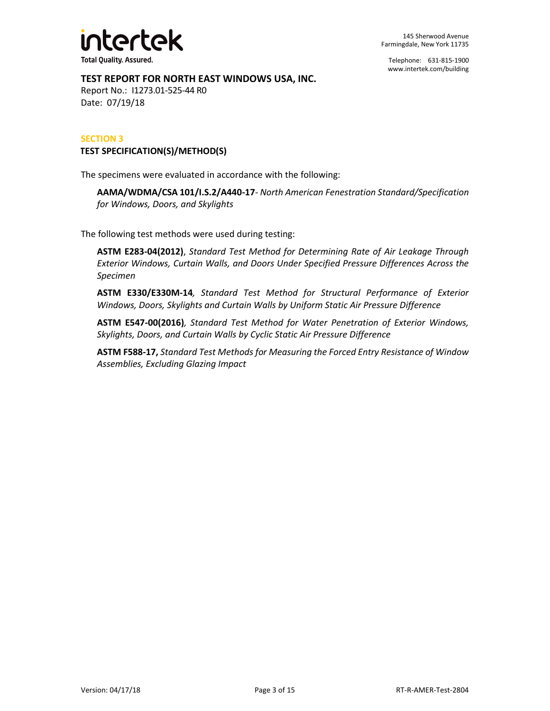

Telephone: 631-815-1900 [www.intertek.com/building](http://www.intertek.com/building)

#### **TEST REPORT FOR NORTH EAST WINDOWS USA, INC.**

Report No.: I1273.01-525-44 R0 Date: 07/19/18

#### **SECTION 3**

#### **TEST SPECIFICATION(S)/METHOD(S)**

The specimens were evaluated in accordance with the following:

**AAMA/WDMA/CSA 101/I.S.2/A440-17***- North American Fenestration Standard/Specification for Windows, Doors, and Skylights*

The following test methods were used during testing:

**ASTM E283-04(2012)**, *Standard Test Method for Determining Rate of Air Leakage Through Exterior Windows, Curtain Walls, and Doors Under Specified Pressure Differences Across the Specimen*

**ASTM E330/E330M-14***, Standard Test Method for Structural Performance of Exterior Windows, Doors, Skylights and Curtain Walls by Uniform Static Air Pressure Difference*

**ASTM E547-00(2016)***, Standard Test Method for Water Penetration of Exterior Windows, Skylights, Doors, and Curtain Walls by Cyclic Static Air Pressure Difference*

**ASTM F588-17,** *Standard Test Methods for Measuring the Forced Entry Resistance of Window Assemblies, Excluding Glazing Impact*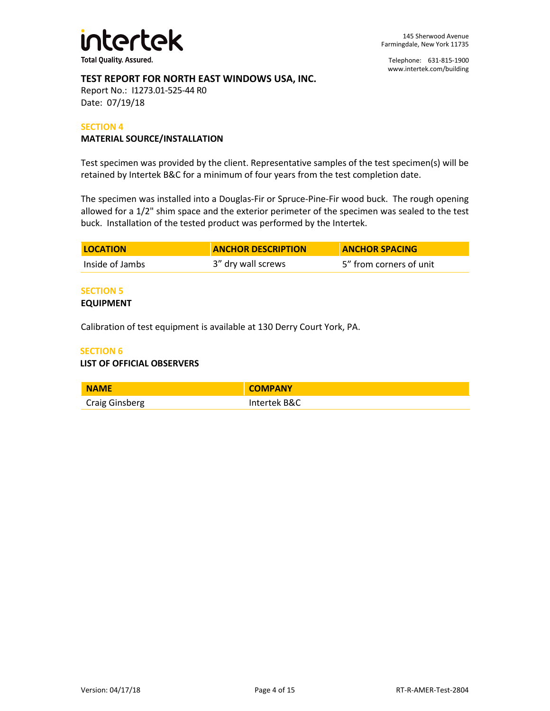

Telephone: 631-815-1900 [www.intertek.com/building](http://www.intertek.com/building)

#### **TEST REPORT FOR NORTH EAST WINDOWS USA, INC.**

Report No.: I1273.01-525-44 R0 Date: 07/19/18

#### **SECTION 4**

#### **MATERIAL SOURCE/INSTALLATION**

Test specimen was provided by the client. Representative samples of the test specimen(s) will be retained by Intertek B&C for a minimum of four years from the test completion date.

The specimen was installed into a Douglas-Fir or Spruce-Pine-Fir wood buck. The rough opening allowed for a 1/2" shim space and the exterior perimeter of the specimen was sealed to the test buck. Installation of the tested product was performed by the Intertek.

| <b>LOCATION</b> | <b>ANCHOR DESCRIPTION</b> | <b>ANCHOR SPACING</b>   |
|-----------------|---------------------------|-------------------------|
| Inside of Jambs | 3" dry wall screws        | 5" from corners of unit |

#### **SECTION 5**

#### **EQUIPMENT**

Calibration of test equipment is available at 130 Derry Court York, PA.

#### **SECTION 6**

#### **LIST OF OFFICIAL OBSERVERS**

| <b>NAME</b>           | <b>COMPANY</b> |
|-----------------------|----------------|
| <b>Craig Ginsberg</b> | Intertek B&C   |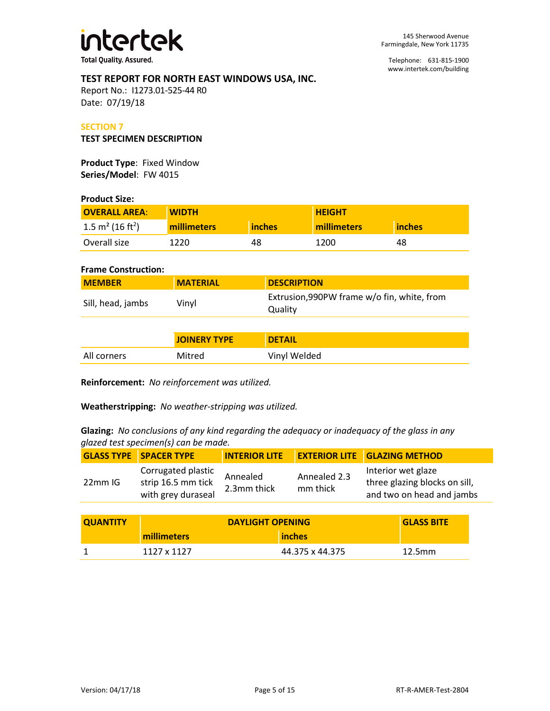

Telephone: 631-815-1900 [www.intertek.com/building](http://www.intertek.com/building)

#### **TEST REPORT FOR NORTH EAST WINDOWS USA, INC.**

Report No.: I1273.01-525-44 R0 Date: 07/19/18

#### **SECTION 7**

#### **TEST SPECIMEN DESCRIPTION**

**Product Type**: Fixed Window **Series/Model**: FW 4015

#### **Product Size:**

| <b>OVERALL AREA:</b>                | <b>WIDTH</b>       |               | <b>HEIGHT</b> |        |
|-------------------------------------|--------------------|---------------|---------------|--------|
| $1.5 \text{ m}^2 (16 \text{ ft}^2)$ | <b>millimeters</b> | <b>inches</b> | millimeters   | inches |
| Overall size                        | 1220               | 48            | 1200          | 48     |

#### **Frame Construction:**

| <b>MEMBER</b>     | <b>MATERIAL</b> | <b>DESCRIPTION</b>                                     |
|-------------------|-----------------|--------------------------------------------------------|
| Sill, head, jambs | Vinvl           | Extrusion, 990PW frame w/o fin, white, from<br>Quality |

|             | <b>JOINERY TYPE</b> | <b>DETAIL</b> |
|-------------|---------------------|---------------|
| All corners | Mitred              | Vinyl Welded  |

**Reinforcement:** *No reinforcement was utilized.*

**Weatherstripping:** *No weather-stripping was utilized.*

**Glazing:** *No conclusions of any kind regarding the adequacy or inadequacy of the glass in any glazed test specimen(s) can be made.*

|         | <b>GLASS TYPE SPACER TYPE</b>                                  |                         |                          | INTERIOR LITE EXTERIOR LITE GLAZING METHOD                                       |
|---------|----------------------------------------------------------------|-------------------------|--------------------------|----------------------------------------------------------------------------------|
| 22mm IG | Corrugated plastic<br>strip 16.5 mm tick<br>with grey duraseal | Annealed<br>2.3mm thick | Annealed 2.3<br>mm thick | Interior wet glaze<br>three glazing blocks on sill,<br>and two on head and jambs |

| <b>QUANTITY</b> | <b>DAYLIGHT OPENING</b> |                 | <b>GLASS BITE</b> |
|-----------------|-------------------------|-----------------|-------------------|
|                 | millimeters             | inches          |                   |
|                 | 1127 x 1127             | 44.375 x 44.375 | 12.5mm            |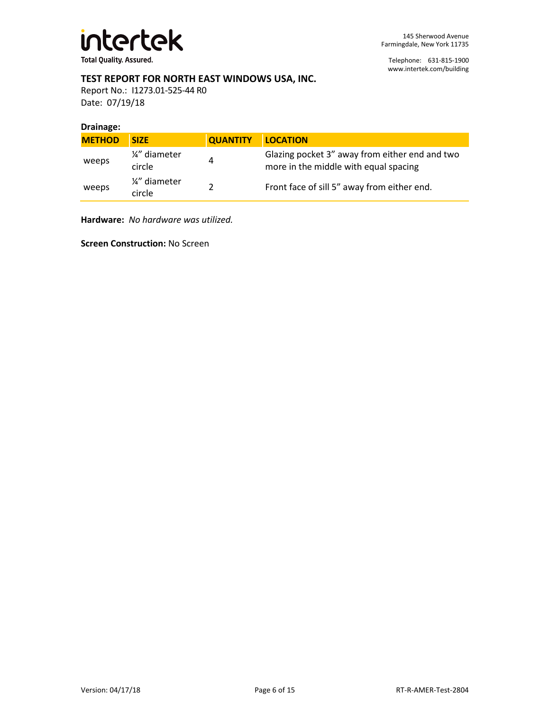

Telephone: 631-815-1900 [www.intertek.com/building](http://www.intertek.com/building)

#### **TEST REPORT FOR NORTH EAST WINDOWS USA, INC.**

Report No.: I1273.01-525-44 R0 Date: 07/19/18

#### **Drainage:**

| <b>METHOD</b> | <b>SIZE</b>             | <b>QUANTITY</b> | <b>LOCATION</b>                                                                         |
|---------------|-------------------------|-----------------|-----------------------------------------------------------------------------------------|
| weeps         | 1/4" diameter<br>circle | 4               | Glazing pocket 3" away from either end and two<br>more in the middle with equal spacing |
| weeps         | 1/4" diameter<br>circle |                 | Front face of sill 5" away from either end.                                             |

**Hardware:** *No hardware was utilized.*

**Screen Construction:** No Screen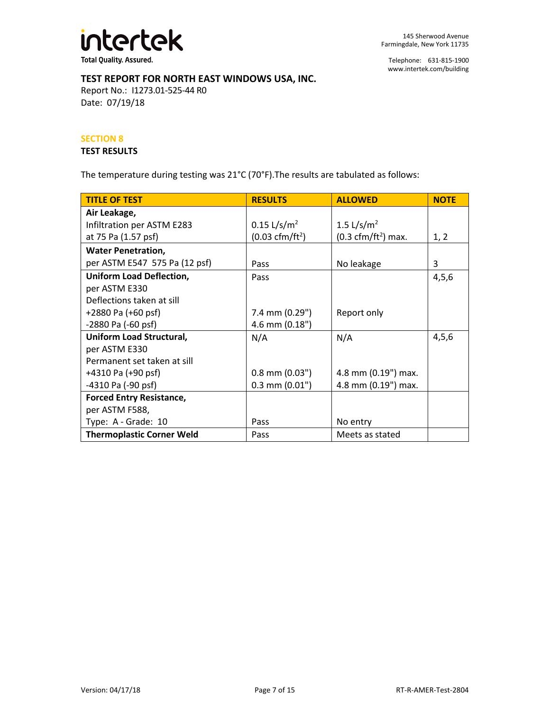

Telephone: 631-815-1900 [www.intertek.com/building](http://www.intertek.com/building)

#### **TEST REPORT FOR NORTH EAST WINDOWS USA, INC.**

Report No.: I1273.01-525-44 R0 Date: 07/19/18

#### **SECTION 8**

#### **TEST RESULTS**

The temperature during testing was 21°C (70°F).The results are tabulated as follows:

| <b>TITLE OF TEST</b>             | <b>RESULTS</b>                   | <b>ALLOWED</b>                       | <b>NOTE</b> |
|----------------------------------|----------------------------------|--------------------------------------|-------------|
| Air Leakage,                     |                                  |                                      |             |
| Infiltration per ASTM E283       | $0.15 \frac{L}{s/m^2}$           | 1.5 L/s/m <sup>2</sup>               |             |
| at 75 Pa (1.57 psf)              | $(0.03 \text{ cfm}/\text{ft}^2)$ | $(0.3 \text{ cfm}/\text{ft}^2)$ max. | 1, 2        |
| <b>Water Penetration,</b>        |                                  |                                      |             |
| per ASTM E547 575 Pa (12 psf)    | Pass                             | No leakage                           | 3           |
| <b>Uniform Load Deflection,</b>  | Pass                             |                                      | 4,5,6       |
| per ASTM E330                    |                                  |                                      |             |
| Deflections taken at sill        |                                  |                                      |             |
| +2880 Pa (+60 psf)               | $7.4$ mm $(0.29")$               | Report only                          |             |
| -2880 Pa (-60 psf)               | 4.6 mm (0.18")                   |                                      |             |
| Uniform Load Structural,         | N/A                              | N/A                                  | 4,5,6       |
| per ASTM E330                    |                                  |                                      |             |
| Permanent set taken at sill      |                                  |                                      |             |
| +4310 Pa (+90 psf)               | $0.8$ mm $(0.03")$               | 4.8 mm (0.19") max.                  |             |
| -4310 Pa (-90 psf)               | $0.3$ mm $(0.01")$               | 4.8 mm (0.19") max.                  |             |
| <b>Forced Entry Resistance,</b>  |                                  |                                      |             |
| per ASTM F588,                   |                                  |                                      |             |
| Type: A - Grade: 10              | Pass                             | No entry                             |             |
| <b>Thermoplastic Corner Weld</b> | Pass                             | Meets as stated                      |             |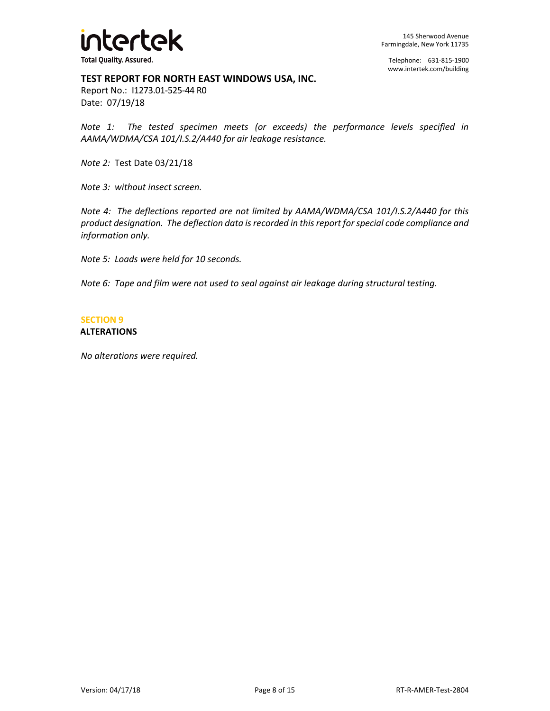

Telephone: 631-815-1900 [www.intertek.com/building](http://www.intertek.com/building)

#### **TEST REPORT FOR NORTH EAST WINDOWS USA, INC.**

Report No.: I1273.01-525-44 R0 Date: 07/19/18

*Note 1: The tested specimen meets (or exceeds) the performance levels specified in AAMA/WDMA/CSA 101/I.S.2/A440 for air leakage resistance.*

*Note 2:* Test Date 03/21/18

*Note 3: without insect screen.*

*Note 4: The deflections reported are not limited by AAMA/WDMA/CSA 101/I.S.2/A440 for this product designation. The deflection data is recorded in this report for special code compliance and information only.*

*Note 5: Loads were held for 10 seconds.*

*Note 6: Tape and film were not used to seal against air leakage during structural testing.* 

# **SECTION 9**

#### **ALTERATIONS**

*No alterations were required.*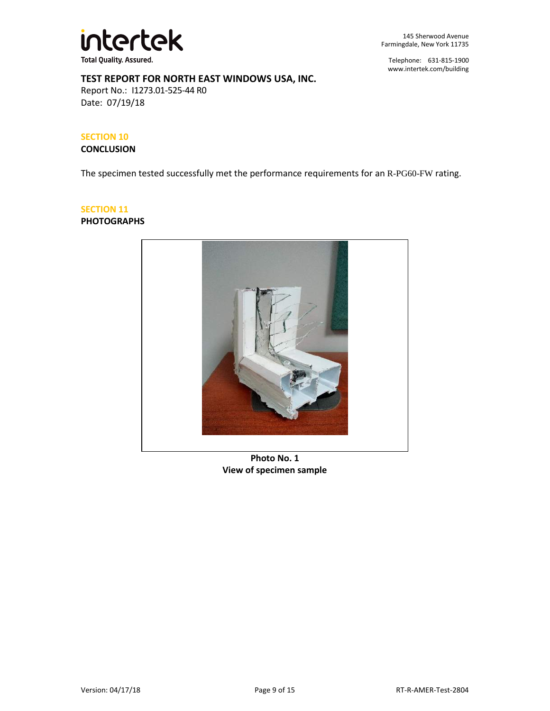

145 Sherwood Avenue Farmingdale, New York 11735

Telephone: 631-815-1900 [www.intertek.com/building](http://www.intertek.com/building)

#### **TEST REPORT FOR NORTH EAST WINDOWS USA, INC.**

Report No.: I1273.01-525-44 R0 Date: 07/19/18

#### **SECTION 10**

#### **CONCLUSION**

The specimen tested successfully met the performance requirements for an R-PG60-FW rating.

### **SECTION 11**

#### **PHOTOGRAPHS**



**Photo No. 1 View of specimen sample**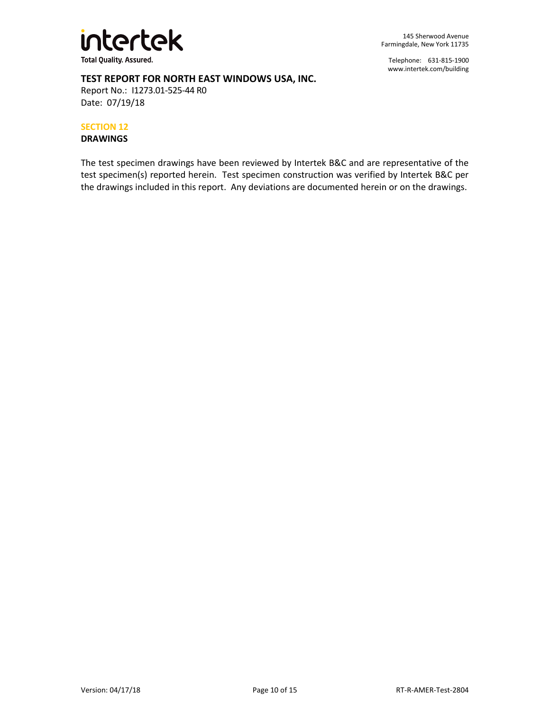

145 Sherwood Avenue Farmingdale, New York 11735

Telephone: 631-815-1900 [www.intertek.com/building](http://www.intertek.com/building)

#### **TEST REPORT FOR NORTH EAST WINDOWS USA, INC.**

Report No.: I1273.01-525-44 R0 Date: 07/19/18

#### **SECTION 12**

**DRAWINGS**

The test specimen drawings have been reviewed by Intertek B&C and are representative of the test specimen(s) reported herein. Test specimen construction was verified by Intertek B&C per the drawings included in this report. Any deviations are documented herein or on the drawings.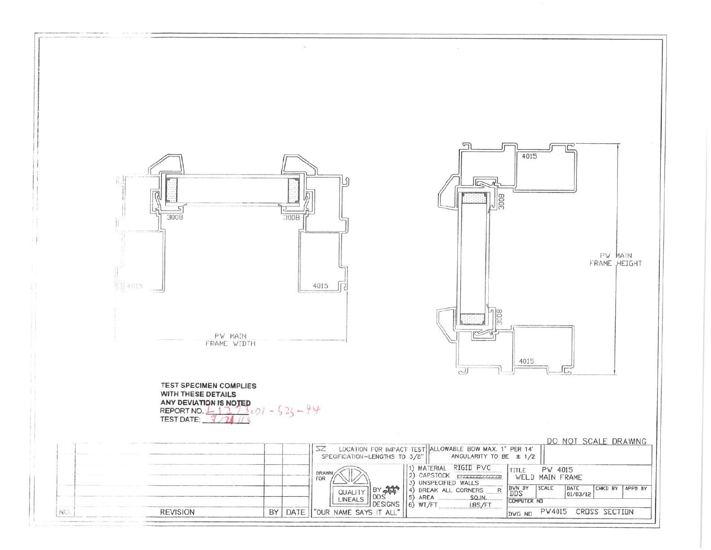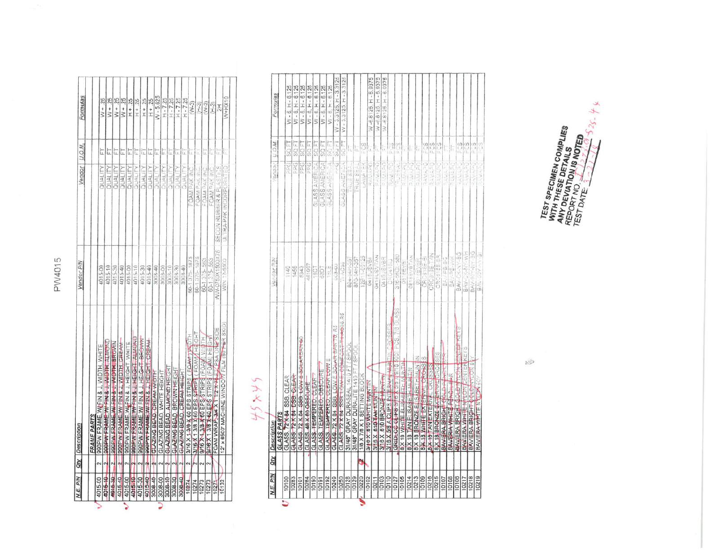| <b>N.E. P/N</b> |                         | Qty Description                                   | Vandor <sub>P/N</sub> | Vendor                 | U.O.M. | Formulas              |
|-----------------|-------------------------|---------------------------------------------------|-----------------------|------------------------|--------|-----------------------|
|                 |                         | <b>FRAME PARTS</b>                                |                       |                        |        |                       |
| 4015-00         | $\sim$                  | <b>GOOP W FRAME, WIFIN &amp; J. VIDTH. WHITE</b>  | 4015-00               | QUALITY                | t      | $W + 25$              |
| $4016 - 10$     | $\mathbf{r}$            | SOOP AY FRAME W/ FIN & J. WIDTH, ALWONT           | 4015-10               | <b>NUMITY</b>          | E      | $W + 25$              |
| 1015-30         | ٩                       | <b>SSOPIAL FRAME W/ FIN &amp; J. WIDTH BROWN</b>  | 4015-30               | QUALITY                | E      | $W + 25$              |
| 4015-40         | $\mathbf{r}$            | 990PW FRAME.WI FIN & J. WIDTH, CREAM              | 4015-40               | <b>MITHO</b>           | t      |                       |
| 4015-00         | $\sim$                  | <b>990PW FRAME, WI-FIN &amp; J, HEIGHT, WHITE</b> | 4015-00               | QUALITY                | t      | $W + 25$              |
| 4015-10         | n                       | BOOP OV FRAME WY FIN & J. HEIGHT ALMOND           | 4015-10               | <b>ALIWRO</b>          | E      | $-1 + 25$<br>$H + 25$ |
| 4015-30         | q                       | <b>990PW FRAME WI FIN &amp; J. HEIGHT BROWN</b>   | 4015-30               | QUALITY                | E      | $H + 25$              |
| 4015-40         | ٩                       | 900PW FRAME, W FIN & J. HEIGHT, CREAM             | 4015-40               | <b>ALITY</b>           | t      | $H + 25$              |
| 3008-40         | ٩                       | GLAZING BEAD, CREAM WIBTH                         | 3008-40               | <b>NUMLITY</b>         | t      | $N - 5.625$           |
| 3008-00         | $\mathbf{\Omega}$       | GLAZING BEAD, WHITE HEIGHT                        | 3008-00               | OUALITY                | t.     | $H - 7.25$            |
| $3008 - 10$     | $\overline{\mathbf{r}}$ | <b>GLAZING BEAD, ALMOND HEIGHT</b>                | 3008-10               | <b>NUMPS</b>           | ī      | $H - 7.25$            |
| 3008-30         |                         | GLAZING-BEAD, BROWN HEIGHT                        | 3008-30               | <b>DUALITY</b>         | t      |                       |
| 3008-40         | ٢                       | GLAZING BEAD, CREAM HEIGHT                        | 3008-40               |                        |        | $-7.25$               |
| 10274           | $\mathbf{\hat{z}}$      | 3/16 X 1 3/8 X 60 EPS STRIPS (FOAM ) WOTH         | 60-1375-1875          | QUALITY                | l,     | $H - 7.25$            |
| 10274           |                         | 3/16 X 1 3/8 X 60 EPS STRIPS ( FOAM/ HEIGHT       |                       | FOAM PAK INC.          | ŧ      | $(W-3)$               |
|                 |                         |                                                   | 60-1.375-1875         | FOAM PAK INC.          |        | 2                     |
| 10273           | $\sim$                  | 9/16 X 1 3/8 X 60 EPS/STRIPS (FOAM) WIDTH         | 60-1.375-563          | FOAM PAK INC.          |        | $(N-3)$               |
| 10273           | $\mathbf{\hat{z}}$      | BABX 1 3/8 X 60 EPS STRIPS (FOAM) HEIGHT          | 60-1.375-.563         | FOAM PAK INC           |        | 俞王                    |
| 10271           |                         | FOAM WRAP, 3/4 X 11/2 X 74 ET PSA ONE SIDE        | NW-0750X1500X75       | SECON RUBBER & PL      |        | H,                    |
| 10132           |                         | 12" x 8500" MACHINE WINDOW FILM (80 FER SKID      | WIN 12-S500           | ULTRA-PAK INCORPORATED | ŧ      | $W+HX10$              |

# $44344$

|   | N.E. P/N              | <b>Off</b> | Description                                 |          | Vendor PIN                                                                            | <b>M'C'7   7cpV0</b> |                                                        | Formulas                                  |
|---|-----------------------|------------|---------------------------------------------|----------|---------------------------------------------------------------------------------------|----------------------|--------------------------------------------------------|-------------------------------------------|
|   |                       |            | <b>GLASS PARTS</b>                          |          |                                                                                       |                      |                                                        |                                           |
| t | 10100                 |            | GLASS. 72 X 84 SSB. CLEAR                   |          | 1140                                                                                  | FDG1                 | <b>130S</b>                                            | W-8. H-8.125                              |
|   | 10283                 |            | GLASS, 72 X 84 DSB, GLEAR                   |          | 1456                                                                                  | EPGE                 | <b>11</b> 88                                           | W-8, H-8, 125                             |
|   | 10101                 |            | GLASS, 72 X 84 SSB, LOW E-SOLARSRN-60       |          | 5343                                                                                  | <b>DEG</b>           | E,<br>S                                                | W-8, H-8.125                              |
|   | 10284                 |            | GLASS, 48 X 60 GBSCURE                      |          | 451997                                                                                | 90 p                 | 50FT                                                   | W-8, H-8.125                              |
|   | 10190                 |            | GLASS TEMPERED, CLEAR                       |          | 1907                                                                                  | GLASS AMERICA        | SQ FT                                                  | W-8.H-8.125                               |
|   | 10191                 |            | GLASS, TEMPERED, OBSCURE                    |          | $rac{1}{20}$                                                                          | GLASS AMERICA        | <b>1308</b>                                            | $W - 8, H - 8, 125$                       |
|   | 10192                 |            | GLASS, TEMPERED, CLEAR LOW E                |          | 161.5                                                                                 | GLASS AMERICAL       | SC 57                                                  | W- 6, H- 6, 125                           |
|   | 10249                 |            | GLASS 72 X 84 SSB, LOW E SOLAR BAN          | 70. 85   | <b>JU-8-00</b>                                                                        | $\frac{1}{2}$        | 50F                                                    | W - 3.3125. H - 3.3125                    |
|   | 10250                 |            | GLASS, 72 X 84 SSB, LOW E. COMFORT          | messe R5 | TI-AC30                                                                               | GLASS ANEFICAL       | SQ <sub>FT</sub>                                       | W - 3.3125, H - 3.3125                    |
|   | 10128                 |            | 31/48" GRAY DURASEAL 1410 FT / SPOOL        |          | 824-041-35                                                                            | 「「へいこ るばん」           |                                                        |                                           |
|   |                       |            | 31/48" GRAY DURALITE 1410 FT / SPOO         |          | 870-84H-357                                                                           | <b>IRUE SEAL</b>     |                                                        |                                           |
|   | 10220                 |            | 1/8 X 7/B X 1 SETTING BLOCK                 |          | 12811-00125                                                                           | LANDA EX             |                                                        |                                           |
|   | 10102                 |            | <b>3/10 X 510 WHITE MUNTIN</b>              |          | 0415USVBI                                                                             | Relatio              | $\frac{1}{2}$                                          | $-5.9375$<br>W-6.8125. H                  |
|   | 10211                 |            | 3/16 X 610 TAN MUNTIN                       |          | <b>MATELSVTAN</b>                                                                     | <b>Charles</b>       | S.                                                     | W-6.8125 H-6.9375                         |
|   | $\frac{10103}{10110}$ |            | 3/16 X 610 BRONZE MUNTIN                    |          | D418UBVBR                                                                             | 三个人的产口               |                                                        | 9375<br>$\frac{6}{4}$<br>$-6.8125.H$<br>≷ |
|   |                       |            | 3/16 X 5/8 A CLIPS INTERWALMENT             |          | <b>CRO41BLJ</b>                                                                       | RAMARD               | 읡                                                      |                                           |
|   | 10127                 |            | <b>Meries</b><br>GRIDLOC CLIPS S/IT X 3/3 % | CS, 7/8  | 316-56QL-580                                                                          | RUSEAL               |                                                        |                                           |
|   | 10105                 |            | <b>8 X 18 WHITE ELISABETH MUNITIN</b>       |          | 0618695                                                                               | <b>DeMinistra</b>    | S).                                                    |                                           |
|   | 10214                 |            | 8 X 18 TAN ELISABETH MUNITIN                |          | <b>OB18EVBTAN</b>                                                                     | <b>Darma</b>         | ŧ                                                      |                                           |
|   | 10213                 |            | 8 X 18 BRONZE ELISABETHIMUN IN              |          |                                                                                       | <b>PAWAPO</b>        | ļt.                                                    |                                           |
|   | 10109                 |            | 8 X 18 WHITE EXTERNAL CROSSES               |          | Obvieware<br>ORCanae-Bi                                                               | <b>PERMAND</b>       |                                                        |                                           |
|   | 10216                 |            | <b>B</b> X 19 TAN EXTERNA                   |          | CROBIBETAN<br>CROBIBERR                                                               | RAVARD               | $\begin{array}{c} 0.000 \\ 0.000 \\ 0.000 \end{array}$ |                                           |
|   | 10215                 |            | <b>B.X 18 BRONZE EXTERMAL CROSSES</b>       |          |                                                                                       |                      |                                                        |                                           |
|   | 10107                 |            | BAVIERA BRIGHT GOLD                         |          |                                                                                       |                      | İ.                                                     |                                           |
|   | 10108                 |            | BAVERIA WHITE PENG                          |          | $\begin{bmatrix} 1 \\ 0 \\ 0 \end{bmatrix} \begin{bmatrix} 1 \\ 0 \\ 0 \end{bmatrix}$ | こんかんこ                | h,                                                     |                                           |
|   | 10108                 |            | BAVIERA BRIGHT G                            |          | $-86$<br>Ŷ.<br>BAV-                                                                   | <b>CONTRACTOR</b>    | のけ                                                     |                                           |
|   | 10217                 |            | BAVIERA WHITE NHON CENTER KEYS              |          | <b>HON-WHY</b><br>BAV-1                                                               | <b>CAMPING</b>       | e Di                                                   |                                           |
|   | 10218                 |            | BAVIERA BRIGHT                              |          | $\frac{1}{2}$<br><b>MANY</b><br>BAL-S                                                 | <b>Software</b>      | $\frac{3}{2}$                                          |                                           |
|   | 10219                 |            | BAVIERA WHITE NYLL W 30                     |          | ğ<br>$\frac{1}{10}$                                                                   |                      |                                                        |                                           |

TEST SPECIMEN COMPLIES<br>WITH THESE DETAILS<br>ANY DEVICATION IS NOTED<br>REPORT MATION IS NOTED<br>TEST DATE

 $\mathbb{R}^{2n}$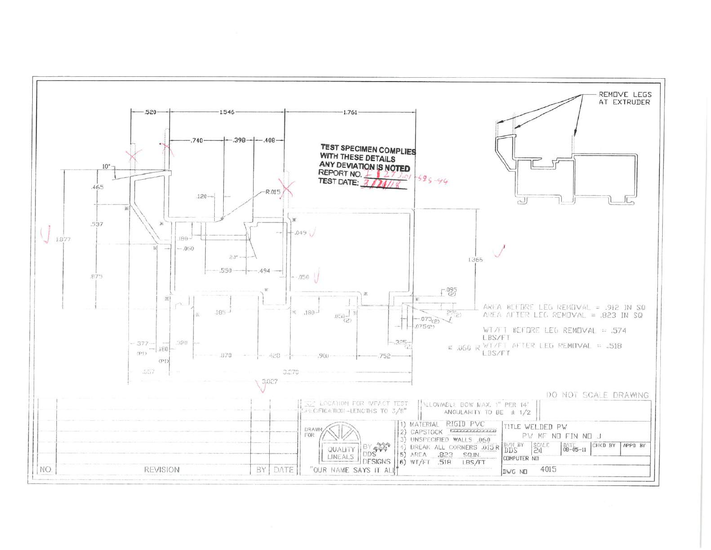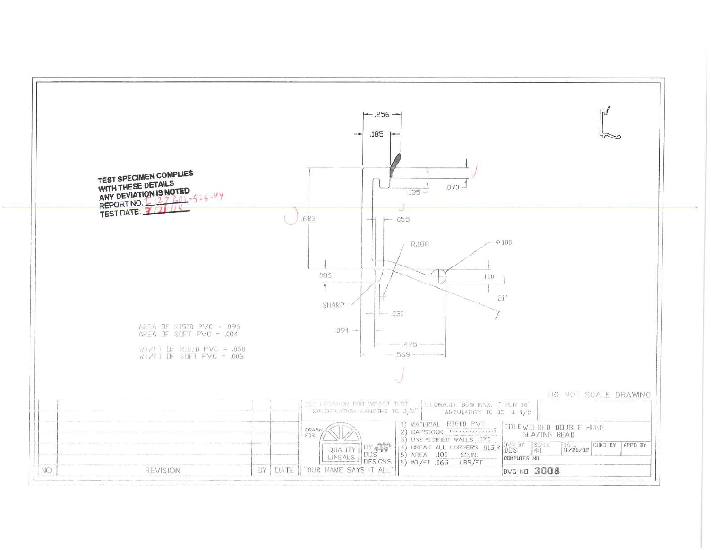